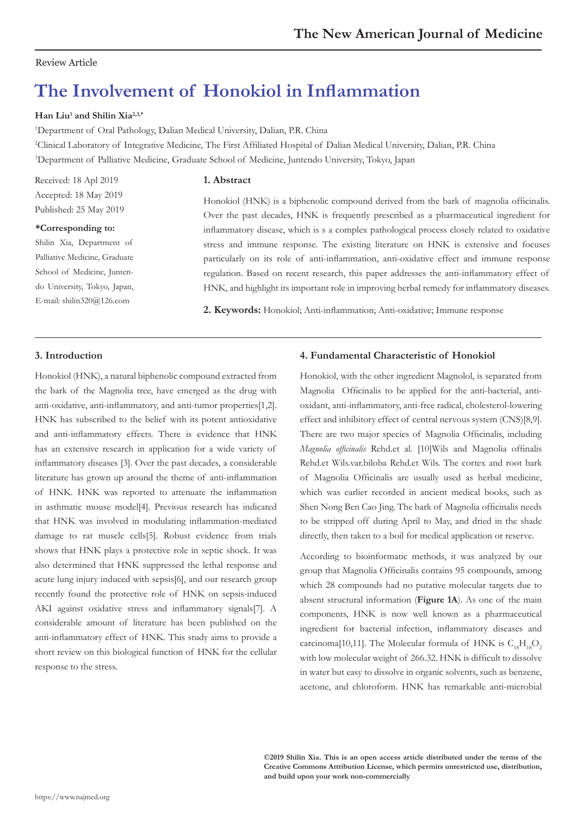# Review Article

# **The Involvement of Honokiol in Inflammation**

# **Han Liu<sup>1</sup> and Shilin Xia2,3,\***

<sup>1</sup>Department of Oral Pathology, Dalian Medical University, Dalian, P.R. China

2 Clinical Laboratory of Integrative Medicine, The First Affiliated Hospital of Dalian Medical University, Dalian, P.R. China 3 Department of Palliative Medicine, Graduate School of Medicine, Juntendo University, Tokyo, Japan

## **1. Abstract**

Received: 18 Apl 2019 Accepted: 18 May 2019 Published: 25 May 2019

#### **\*Corresponding to:**

Shilin Xia, Department of Palliative Medicine, Graduate School of Medicine, Juntendo University, Tokyo, Japan, E-mail: shilin320@126.com

Honokiol (HNK) is a biphenolic compound derived from the bark of magnolia officinalis. Over the past decades, HNK is frequently prescribed as a pharmaceutical ingredient for inflammatory disease, which is s a complex pathological process closely related to oxidative stress and immune response. The existing literature on HNK is extensive and focuses particularly on its role of anti-inflammation, anti-oxidative effect and immune response regulation. Based on recent research, this paper addresses the anti-inflammatory effect of HNK, and highlight its important role in improving herbal remedy for inflammatory diseases.

**2. Keywords:** Honokiol; Anti-inflammation; Anti-oxidative; Immune response

# **3. Introduction**

Honokiol (HNK), a natural biphenolic compound extracted from the bark of the Magnolia tree, have emerged as the drug with anti-oxidative, anti-inflammatory, and anti-tumor properties[1,2]. HNK has subscribed to the belief with its potent antioxidative and anti-inflammatory effects. There is evidence that HNK has an extensive research in application for a wide variety of inflammatory diseases [3]. Over the past decades, a considerable literature has grown up around the theme of anti-inflammation of HNK. HNK was reported to attenuate the inflammation in asthmatic mouse model[4]. Previous research has indicated that HNK was involved in modulating inflammation-mediated damage to rat muscle cells[5]. Robust evidence from trials shows that HNK plays a protective role in septic shock. It was also determined that HNK suppressed the lethal response and acute lung injury induced with sepsis[6], and our research group recently found the protective role of HNK on sepsis-induced AKI against oxidative stress and inflammatory signals[7]. A considerable amount of literature has been published on the anti-inflammatory effect of HNK. This study aims to provide a short review on this biological function of HNK for the cellular response to the stress.

## **4. Fundamental Characteristic of Honokiol**

Honokiol, with the other ingredient Magnolol, is separated from Magnolia Officinalis to be applied for the anti-bacterial, antioxidant, anti-inflammatory, anti-free radical, cholesterol-lowering effect and inhibitory effect of central nervous system (CNS)[8,9]. There are two major species of Magnolia Officinalis, including *Magnolia officinalis* Rehd.et al. [10]Wils and Magnolia offinalis Rehd.et Wils.var.biloba Rehd.et Wils. The cortex and root bark of Magnolia Officinalis are usually used as herbal medicine, which was earlier recorded in ancient medical books, such as Shen Nong Ben Cao Jing. The bark of Magnolia officinalis needs to be stripped off during April to May, and dried in the shade directly, then taken to a boil for medical application or reserve.

According to bioinformatic methods, it was analyzed by our group that Magnolia Officinalis contains 95 compounds, among which 28 compounds had no putative molecular targets due to absent structural information (**Figure 1A**). As one of the main components, HNK is now well known as a pharmaceutical ingredient for bacterial infection, inflammatory diseases and carcinoma[10,11]. The Molecular formula of HNK is  $C_{1}H_{10}O_{2}$ with low molecular weight of 266.32. HNK is difficult to dissolve in water but easy to dissolve in organic solvents, such as benzene, acetone, and chloroform. HNK has remarkable anti-microbial

**©2019 Shilin Xia. This is an open access article distributed under the terms of the Creative Commons Attribution License, which permits unrestricted use, distribution, and build upon your work non-commercially**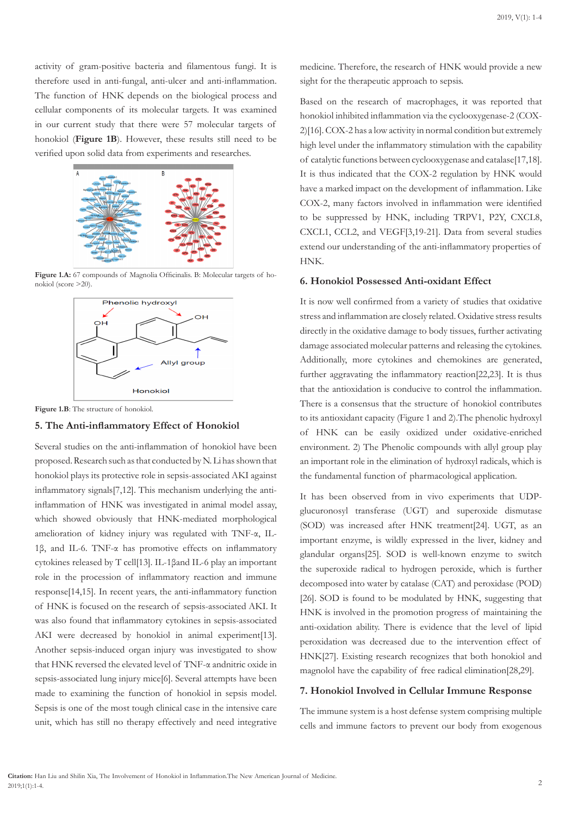activity of gram-positive bacteria and filamentous fungi. It is therefore used in anti-fungal, anti-ulcer and anti-inflammation. The function of HNK depends on the biological process and cellular components of its molecular targets. It was examined in our current study that there were 57 molecular targets of honokiol (**Figure 1B**). However, these results still need to be verified upon solid data from experiments and researches.



Figure 1.A: 67 compounds of Magnolia Officinalis. B: Molecular targets of honokiol (score >20).



**Figure 1.B**: The structure of honokiol.

#### **5. The Anti-inflammatory Effect of Honokiol**

Several studies on the anti-inflammation of honokiol have been proposed. Research such as that conducted by N. Li has shown that honokiol plays its protective role in sepsis-associated AKI against inflammatory signals[7,12]. This mechanism underlying the antiinflammation of HNK was investigated in animal model assay, which showed obviously that HNK-mediated morphological amelioration of kidney injury was regulated with TNF-α, IL-1β, and IL-6. TNF-α has promotive effects on inflammatory cytokines released by T cell[13]. IL-1βand IL-6 play an important role in the procession of inflammatory reaction and immune response[14,15]. In recent years, the anti-inflammatory function of HNK is focused on the research of sepsis-associated AKI. It was also found that inflammatory cytokines in sepsis-associated AKI were decreased by honokiol in animal experiment[13]. Another sepsis-induced organ injury was investigated to show that HNK reversed the elevated level of TNF-α andnitric oxide in sepsis-associated lung injury mice[6]. Several attempts have been made to examining the function of honokiol in sepsis model. Sepsis is one of the most tough clinical case in the intensive care unit, which has still no therapy effectively and need integrative

medicine. Therefore, the research of HNK would provide a new sight for the therapeutic approach to sepsis.

Based on the research of macrophages, it was reported that honokiol inhibited inflammation via the cyclooxygenase-2 (COX-2)[16]. COX-2 has a low activity in normal condition but extremely high level under the inflammatory stimulation with the capability of catalytic functions between cyclooxygenase and catalase[17,18]. It is thus indicated that the COX-2 regulation by HNK would have a marked impact on the development of inflammation. Like COX-2, many factors involved in inflammation were identified to be suppressed by HNK, including TRPV1, P2Y, CXCL8, CXCL1, CCL2, and VEGF[3,19-21]. Data from several studies extend our understanding of the anti-inflammatory properties of HNK.

## **6. Honokiol Possessed Anti-oxidant Effect**

It is now well confirmed from a variety of studies that oxidative stress and inflammation are closely related. Oxidative stress results directly in the oxidative damage to body tissues, further activating damage associated molecular patterns and releasing the cytokines. Additionally, more cytokines and chemokines are generated, further aggravating the inflammatory reaction[22,23]. It is thus that the antioxidation is conducive to control the inflammation. There is a consensus that the structure of honokiol contributes to its antioxidant capacity (Figure 1 and 2).The phenolic hydroxyl of HNK can be easily oxidized under oxidative-enriched environment. 2) The Phenolic compounds with allyl group play an important role in the elimination of hydroxyl radicals, which is the fundamental function of pharmacological application.

It has been observed from in vivo experiments that UDPglucuronosyl transferase (UGT) and superoxide dismutase (SOD) was increased after HNK treatment[24]. UGT, as an important enzyme, is wildly expressed in the liver, kidney and glandular organs[25]. SOD is well-known enzyme to switch the superoxide radical to hydrogen peroxide, which is further decomposed into water by catalase (CAT) and peroxidase (POD) [26]. SOD is found to be modulated by HNK, suggesting that HNK is involved in the promotion progress of maintaining the anti-oxidation ability. There is evidence that the level of lipid peroxidation was decreased due to the intervention effect of HNK[27]. Existing research recognizes that both honokiol and magnolol have the capability of free radical elimination[28,29].

#### **7. Honokiol Involved in Cellular Immune Response**

The immune system is a host defense system comprising multiple cells and immune factors to prevent our body from exogenous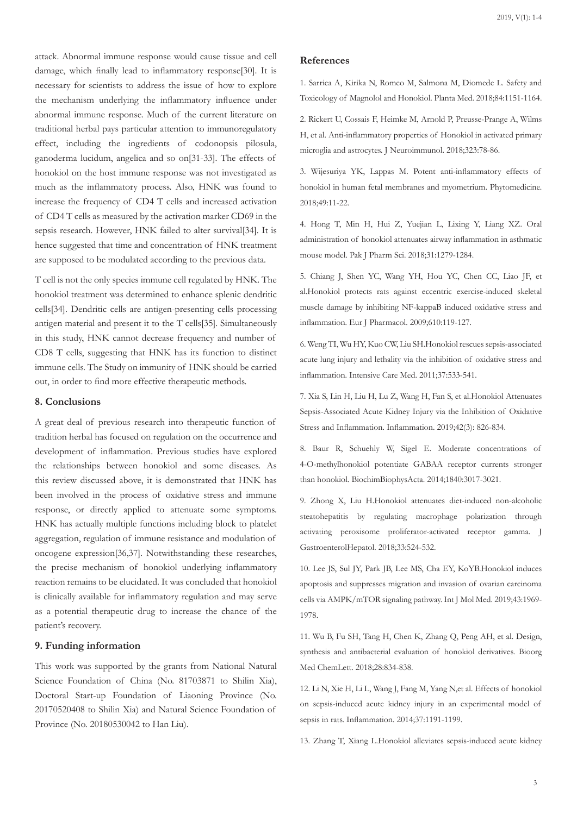attack. Abnormal immune response would cause tissue and cell damage, which finally lead to inflammatory response[30]. It is necessary for scientists to address the issue of how to explore the mechanism underlying the inflammatory influence under abnormal immune response. Much of the current literature on traditional herbal pays particular attention to immunoregulatory effect, including the ingredients of codonopsis pilosula, ganoderma lucidum, angelica and so on[31-33]. The effects of honokiol on the host immune response was not investigated as much as the inflammatory process. Also, HNK was found to increase the frequency of CD4 T cells and increased activation of CD4 T cells as measured by the activation marker CD69 in the sepsis research. However, HNK failed to alter survival[34]. It is hence suggested that time and concentration of HNK treatment are supposed to be modulated according to the previous data.

T cell is not the only species immune cell regulated by HNK. The honokiol treatment was determined to enhance splenic dendritic cells[34]. Dendritic cells are antigen-presenting cells processing antigen material and present it to the T cells[35]. Simultaneously in this study, HNK cannot decrease frequency and number of CD8 T cells, suggesting that HNK has its function to distinct immune cells. The Study on immunity of HNK should be carried out, in order to find more effective therapeutic methods.

# **8. Conclusions**

A great deal of previous research into therapeutic function of tradition herbal has focused on regulation on the occurrence and development of inflammation. Previous studies have explored the relationships between honokiol and some diseases. As this review discussed above, it is demonstrated that HNK has been involved in the process of oxidative stress and immune response, or directly applied to attenuate some symptoms. HNK has actually multiple functions including block to platelet aggregation, regulation of immune resistance and modulation of oncogene expression[36,37]. Notwithstanding these researches, the precise mechanism of honokiol underlying inflammatory reaction remains to be elucidated. It was concluded that honokiol is clinically available for inflammatory regulation and may serve as a potential therapeutic drug to increase the chance of the patient's recovery.

# **9. Funding information**

This work was supported by the grants from National Natural Science Foundation of China (No. 81703871 to Shilin Xia), Doctoral Start-up Foundation of Liaoning Province (No. 20170520408 to Shilin Xia) and Natural Science Foundation of Province (No. 20180530042 to Han Liu).

#### **References**

1. Sarrica A, Kirika N, Romeo M, Salmona M, Diomede L. Safety and Toxicology of Magnolol and Honokiol. Planta Med. 2018;84:1151-1164.

2. Rickert U, Cossais F, Heimke M, Arnold P, Preusse-Prange A, Wilms H, et al. Anti-inflammatory properties of Honokiol in activated primary microglia and astrocytes. J Neuroimmunol. 2018;323:78-86.

3. Wijesuriya YK, Lappas M. Potent anti-inflammatory effects of honokiol in human fetal membranes and myometrium. Phytomedicine. 2018;49:11-22.

4. Hong T, Min H, Hui Z, Yuejian L, Lixing Y, Liang XZ. Oral administration of honokiol attenuates airway inflammation in asthmatic mouse model. Pak J Pharm Sci. 2018;31:1279-1284.

5. Chiang J, Shen YC, Wang YH, Hou YC, Chen CC, Liao JF, et al.Honokiol protects rats against eccentric exercise-induced skeletal muscle damage by inhibiting NF-kappaB induced oxidative stress and inflammation. Eur J Pharmacol. 2009;610:119-127.

6. Weng TI, Wu HY, Kuo CW, Liu SH.Honokiol rescues sepsis-associated acute lung injury and lethality via the inhibition of oxidative stress and inflammation. Intensive Care Med. 2011;37:533-541.

7. Xia S, Lin H, Liu H, Lu Z, Wang H, Fan S, et al.Honokiol Attenuates Sepsis-Associated Acute Kidney Injury via the Inhibition of Oxidative Stress and Inflammation. Inflammation. 2019;42(3): 826-834.

8. Baur R, Schuehly W, Sigel E. Moderate concentrations of 4-O-methylhonokiol potentiate GABAA receptor currents stronger than honokiol. BiochimBiophysActa. 2014;1840:3017-3021.

9. Zhong X, Liu H.Honokiol attenuates diet-induced non-alcoholic steatohepatitis by regulating macrophage polarization through activating peroxisome proliferator-activated receptor gamma. J GastroenterolHepatol. 2018;33:524-532.

10. Lee JS, Sul JY, Park JB, Lee MS, Cha EY, KoYB.Honokiol induces apoptosis and suppresses migration and invasion of ovarian carcinoma cells via AMPK/mTOR signaling pathway. Int J Mol Med. 2019;43:1969- 1978.

11. Wu B, Fu SH, Tang H, Chen K, Zhang Q, Peng AH, et al. Design, synthesis and antibacterial evaluation of honokiol derivatives. Bioorg Med ChemLett. 2018;28:834-838.

12. Li N, Xie H, Li L, Wang J, Fang M, Yang N,et al. Effects of honokiol on sepsis-induced acute kidney injury in an experimental model of sepsis in rats. Inflammation. 2014;37:1191-1199.

13. Zhang T, Xiang L.Honokiol alleviates sepsis-induced acute kidney